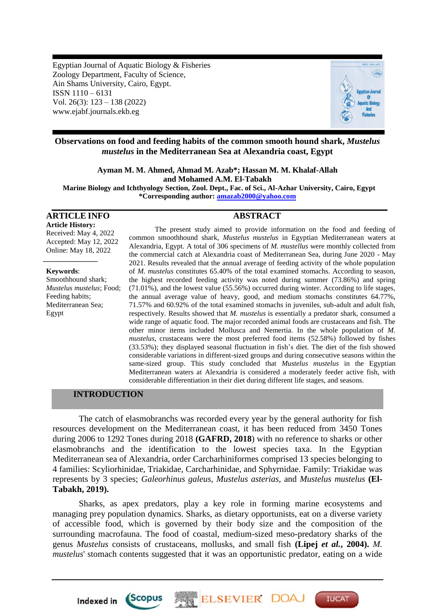Egyptian Journal of Aquatic Biology & Fisheries Zoology Department, Faculty of Science, Ain Shams University, Cairo, Egypt. ISSN 1110 – 6131 Vol. 26(3): 123 – 138 (2022) www.ejabf.journals.ekb.eg



# **Observations on food and feeding habits of the common smooth hound shark,** *Mustelus mustelus* **in the Mediterranean Sea at Alexandria coast, Egypt**

**Ayman M. M. Ahmed, Ahmad M. Azab\*; Hassan M. M. Khalaf-Allah and Mohamed A.M. El-Tabakh**

**Marine Biology and Ichthyology Section, Zool. Dept., Fac. of Sci., Al-Azhar University, Cairo, Egypt \*Corresponding author: [amazab2000@yahoo.com](mailto:amazab2000@yahoo.com)**

#### **ARTICLE INFO ABSTRACT**

**Article History:** Received: May 4, 2022 Accepted: May 12, 2022 Online: May 18, 2022

#### **Keywords**:

*\_\_\_\_\_\_\_\_\_\_\_\_\_\_\_*

Smoothhound shark; *Mustelus mustelus*; Food; Feeding habits; Mediterranean Sea; Egypt

The present study aimed to provide information on the food and feeding of common smoothhound shark, *Mustelus mustelus* in Egyptian Mediterranean waters at Alexandria, Egypt. A total of 306 specimens of *M. mustellus* were monthly collected from the commercial catch at Alexandria coast of Mediterranean Sea, during June 2020 - May 2021. Results revealed that the annual average of feeding activity of the whole population of *M. mustelus* constitutes 65.40% of the total examined stomachs. According to season, the highest recorded feeding activity was noted during summer (73.86%) and spring (71.01%), and the lowest value (55.56%) occurred during winter. According to life stages, the annual average value of heavy, good, and medium stomachs constitutes 64.77%, 71.57% and 60.92% of the total examined stomachs in juveniles, sub-adult and adult fish, respectively. Results showed that *M. mustelus* is essentially a predator shark, consumed a wide range of aquatic food. The major recorded animal foods are crustaceans and fish. The other minor items included Mollusca and Nemertia. In the whole population of *M. mustelus*, crustaceans were the most preferred food items (52.58%) followed by fishes (33.53%); they displayed seasonal fluctuation in fish's diet. The diet of the fish showed considerable variations in different-sized groups and during consecutive seasons within the same-sized group. This study concluded that *Mustelus mustelus* in the Egyptian Mediterranean waters at Alexandria is considered a moderately feeder active fish, with considerable differentiation in their diet during different life stages, and seasons.

# **INTRODUCTION**

Indexed in Scopus

The catch of elasmobranchs was recorded every year by the general authority for fish resources development on the Mediterranean coast, it has been reduced from 3450 Tones during 2006 to 1292 Tones during 2018 **(GAFRD, 2018**) with no reference to sharks or other elasmobranchs and the identification to the lowest species taxa. In the Egyptian Mediterranean sea of Alexandria, order Carcharhiniformes comprised 13 species belonging to 4 families: Scyliorhinidae, Triakidae, Carcharhinidae, and Sphyrnidae. Family: Triakidae was represents by 3 species; *Galeorhinus galeus*, *Mustelus asterias,* and *Mustelus mustelus* **(El-Tabakh, 2019).** 

Sharks, as apex predators, play a key role in forming marine ecosystems and managing prey population dynamics. Sharks, as dietary opportunists, eat on a diverse variety of accessible food, which is governed by their body size and the composition of the surrounding macrofauna. The food of coastal, medium-sized meso-predatory sharks of the genus *Mustelus* consists of crustaceans, mollusks, and small fish **(Lipej** *et al.***, 2004).** *M. mustelus*' stomach contents suggested that it was an opportunistic predator, eating on a wide

**ELSEVIER DOA** 

**IUCAT**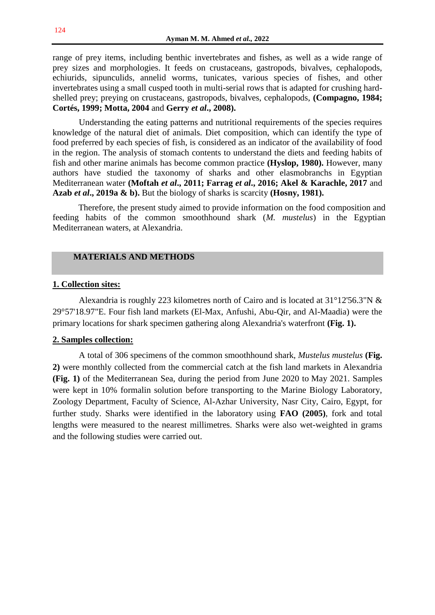range of prey items, including benthic invertebrates and fishes, as well as a wide range of prey sizes and morphologies. It feeds on crustaceans, gastropods, bivalves, cephalopods, echiurids, sipunculids, annelid worms, tunicates, various species of fishes, and other invertebrates using a small cusped tooth in multi-serial rows that is adapted for crushing hardshelled prey; preying on crustaceans, gastropods, bivalves, cephalopods, **(Compagno, 1984; Cortés, 1999; Motta, 2004** and **Gerry** *et al***., 2008).**

Understanding the eating patterns and nutritional requirements of the species requires knowledge of the natural diet of animals. Diet composition, which can identify the type of food preferred by each species of fish, is considered as an indicator of the availability of food in the region. The analysis of stomach contents to understand the diets and feeding habits of fish and other marine animals has become common practice **(Hyslop, 1980).** However, many authors have studied the taxonomy of sharks and other elasmobranchs in Egyptian Mediterranean water **(Moftah** *et al***., 2011; Farrag** *et al***., 2016; Akel & Karachle, 2017** and **Azab** *et al***., 2019a & b).** But the biology of sharks is scarcity **(Hosny, 1981).**

Therefore, the present study aimed to provide information on the food composition and feeding habits of the common smoothhound shark (*M. mustelus*) in the Egyptian Mediterranean waters, at Alexandria.

## **MATERIALS AND METHODS**

### **1. Collection sites:**

Alexandria is roughly 223 kilometres north of Cairo and is located at 31°12'56.3"N & 29°57'18.97"E. Four fish land markets (El-Max, Anfushi, Abu-Qir, and Al-Maadia) were the primary locations for shark specimen gathering along Alexandria's waterfront **(Fig. 1).** 

### **2. Samples collection:**

A total of 306 specimens of the common smoothhound shark, *Mustelus mustelus* **(Fig. 2)** were monthly collected from the commercial catch at the fish land markets in Alexandria **(Fig. 1)** of the Mediterranean Sea, during the period from June 2020 to May 2021. Samples were kept in 10% formalin solution before transporting to the Marine Biology Laboratory, Zoology Department, Faculty of Science, Al-Azhar University, Nasr City, Cairo, Egypt, for further study. Sharks were identified in the laboratory using **FAO (2005)**, fork and total lengths were measured to the nearest millimetres. Sharks were also wet-weighted in grams and the following studies were carried out.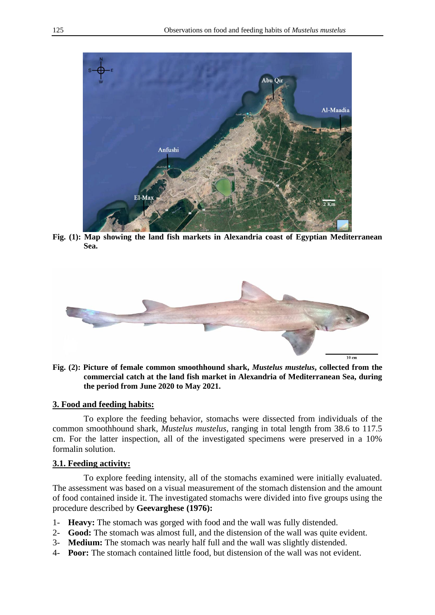

**Fig. (1): Map showing the land fish markets in Alexandria coast of Egyptian Mediterranean Sea.**



**Fig. (2): Picture of female common smoothhound shark,** *Mustelus mustelus***, collected from the commercial catch at the land fish market in Alexandria of Mediterranean Sea, during the period from June 2020 to May 2021.**

## **3. Food and feeding habits:**

To explore the feeding behavior, stomachs were dissected from individuals of the common smoothhound shark, *Mustelus mustelus*, ranging in total length from 38.6 to 117.5 cm. For the latter inspection, all of the investigated specimens were preserved in a 10% formalin solution.

# **3.1. Feeding activity:**

To explore feeding intensity, all of the stomachs examined were initially evaluated. The assessment was based on a visual measurement of the stomach distension and the amount of food contained inside it. The investigated stomachs were divided into five groups using the procedure described by **Geevarghese (1976):**

- 1- **Heavy:** The stomach was gorged with food and the wall was fully distended.
- 2- **Good:** The stomach was almost full, and the distension of the wall was quite evident.
- 3- **Medium:** The stomach was nearly half full and the wall was slightly distended.
- 4- **Poor:** The stomach contained little food, but distension of the wall was not evident.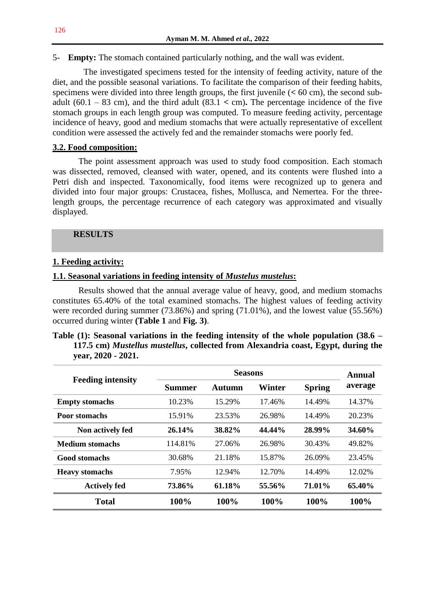5- **Empty:** The stomach contained particularly nothing, and the wall was evident.

The investigated specimens tested for the intensity of feeding activity, nature of the diet, and the possible seasonal variations. To facilitate the comparison of their feeding habits, specimens were divided into three length groups, the first juvenile (**<** 60 cm), the second subadult  $(60.1 - 83$  cm), and the third adult  $(83.1 < cm)$ . The percentage incidence of the five stomach groups in each length group was computed. To measure feeding activity, percentage incidence of heavy, good and medium stomachs that were actually representative of excellent condition were assessed the actively fed and the remainder stomachs were poorly fed.

# **3.2. Food composition:**

The point assessment approach was used to study food composition. Each stomach was dissected, removed, cleansed with water, opened, and its contents were flushed into a Petri dish and inspected. Taxonomically, food items were recognized up to genera and divided into four major groups: Crustacea, fishes, Mollusca, and Nemertea. For the threelength groups, the percentage recurrence of each category was approximated and visually displayed.

## **RESULTS**

## **1. Feeding activity:**

# **1.1. Seasonal variations in feeding intensity of** *Mustelus mustelus***:**

Results showed that the annual average value of heavy, good, and medium stomachs constitutes 65.40% of the total examined stomachs. The highest values of feeding activity were recorded during summer (73.86%) and spring (71.01%), and the lowest value (55.56%) occurred during winter **(Table 1** and **Fig. 3)**.

| Table (1): Seasonal variations in the feeding intensity of the whole population $(38.6 -$ |  |  |
|-------------------------------------------------------------------------------------------|--|--|
| 117.5 cm) Mustellus mustellus, collected from Alexandria coast, Egypt, during the         |  |  |
| $year, 2020 - 2021.$                                                                      |  |  |

| <b>Feeding intensity</b> |         | Annual |        |               |         |
|--------------------------|---------|--------|--------|---------------|---------|
|                          | Summer  | Autumn | Winter | <b>Spring</b> | average |
| <b>Empty stomachs</b>    | 10.23%  | 15.29% | 17.46% | 14.49%        | 14.37%  |
| Poor stomachs            | 15.91%  | 23.53% | 26.98% | 14.49%        | 20.23%  |
| Non actively fed         | 26.14%  | 38.82% | 44.44% | 28.99%        | 34.60%  |
| <b>Medium stomachs</b>   | 114.81% | 27.06% | 26.98% | 30.43%        | 49.82%  |
| <b>Good stomachs</b>     | 30.68%  | 21.18% | 15.87% | 26.09%        | 23.45%  |
| <b>Heavy stomachs</b>    | 7.95%   | 12.94% | 12.70% | 14.49%        | 12.02%  |
| <b>Actively fed</b>      | 73.86%  | 61.18% | 55.56% | 71.01%        | 65.40%  |
| <b>Total</b>             | 100%    | 100%   | 100%   | 100%          | 100%    |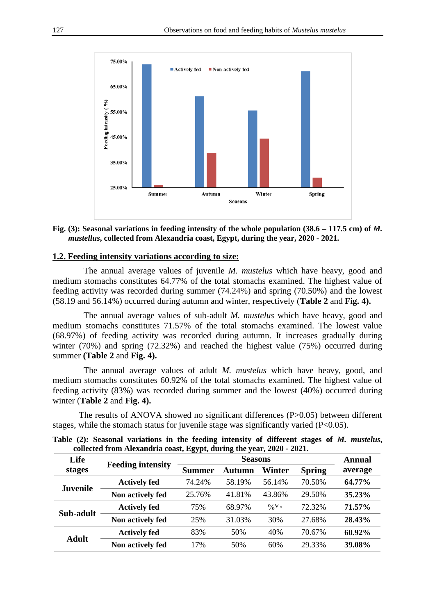

### **Fig. (3): Seasonal variations in feeding intensity of the whole population (38.6 – 117.5 cm) of** *M. mustellus***, collected from Alexandria coast, Egypt, during the year, 2020 - 2021.**

## **1.2. Feeding intensity variations according to size:**

The annual average values of juvenile *M. mustelus* which have heavy, good and medium stomachs constitutes 64.77% of the total stomachs examined. The highest value of feeding activity was recorded during summer (74.24%) and spring (70.50%) and the lowest (58.19 and 56.14%) occurred during autumn and winter, respectively (**Table 2** and **Fig. 4).**

The annual average values of sub-adult *M. mustelus* which have heavy, good and medium stomachs constitutes 71.57% of the total stomachs examined. The lowest value (68.97%) of feeding activity was recorded during autumn. It increases gradually during winter (70%) and spring (72.32%) and reached the highest value (75%) occurred during summer **(Table 2** and **Fig. 4).**

The annual average values of adult *M. mustelus* which have heavy, good, and medium stomachs constitutes 60.92% of the total stomachs examined. The highest value of feeding activity (83%) was recorded during summer and the lowest (40%) occurred during winter (**Table 2** and **Fig. 4).**

The results of ANOVA showed no significant differences (P>0.05) between different stages, while the stomach status for juvenile stage was significantly varied (P<0.05).

| Life<br>stages  | <b>Feeding intensity</b> | <b>Seasons</b> |        |                 |               | Annual  |
|-----------------|--------------------------|----------------|--------|-----------------|---------------|---------|
|                 |                          | Summer         | Autumn | Winter          | <b>Spring</b> | average |
| <b>Juvenile</b> | <b>Actively fed</b>      | 74.24%         | 58.19% | 56.14%          | 70.50%        | 64.77%  |
|                 | Non actively fed         | 25.76%         | 41.81% | 43.86%          | 29.50%        | 35.23%  |
| Sub-adult       | <b>Actively fed</b>      | 75%            | 68.97% | $\frac{0}{N}$ . | 72.32%        | 71.57%  |
|                 | Non actively fed         | 25%            | 31.03% | 30%             | 27.68%        | 28.43%  |
| <b>Adult</b>    | <b>Actively fed</b>      | 83%            | 50%    | 40%             | 70.67%        | 60.92%  |
|                 | Non actively fed         | 17%            | 50%    | 60%             | 29.33%        | 39.08%  |

**Table (2): Seasonal variations in the feeding intensity of different stages of** *M. mustelus***, collected from Alexandria coast, Egypt, during the year, 2020 - 2021.**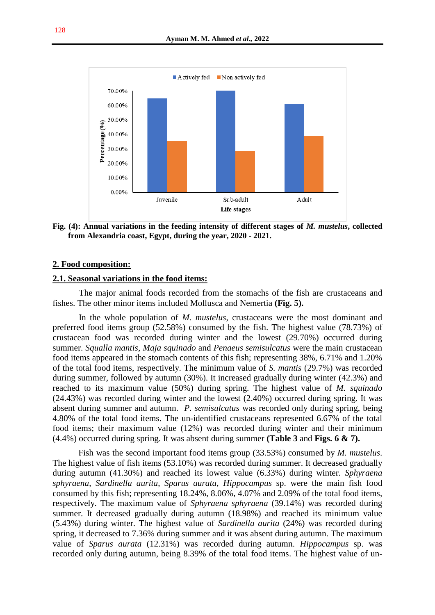

**Fig. (4): Annual variations in the feeding intensity of different stages of** *M. mustelus***, collected from Alexandria coast, Egypt, during the year, 2020 - 2021.**

#### **2. Food composition:**

#### **2.1. Seasonal variations in the food items:**

The major animal foods recorded from the stomachs of the fish are crustaceans and fishes. The other minor items included Mollusca and Nemertia **(Fig. 5).**

In the whole population of *M. mustelus*, crustaceans were the most dominant and preferred food items group (52.58%) consumed by the fish. The highest value (78.73%) of crustacean food was recorded during winter and the lowest (29.70%) occurred during summer. *Squalla mantis*, *Maja squinado* and *Penaeus semisulcatus* were the main crustacean food items appeared in the stomach contents of this fish; representing 38%, 6.71% and 1.20% of the total food items, respectively. The minimum value of *S. mantis* (29.7%) was recorded during summer, followed by autumn (30%). It increased gradually during winter (42.3%) and reached to its maximum value (50%) during spring. The highest value of *M. squinado* (24.43%) was recorded during winter and the lowest (2.40%) occurred during spring. It was absent during summer and autumn. *P. semisulcatus* was recorded only during spring, being 4.80% of the total food items. The un-identified crustaceans represented 6.67% of the total food items; their maximum value (12%) was recorded during winter and their minimum (4.4%) occurred during spring. It was absent during summer **(Table 3** and **Figs. 6 & 7).**

Fish was the second important food items group (33.53%) consumed by *M. mustelus*. The highest value of fish items (53.10%) was recorded during summer. It decreased gradually during autumn (41.30%) and reached its lowest value (6.33%) during winter. *Sphyraena sphyraena*, *Sardinella aurita*, *Sparus aurata*, *Hippocampus* sp. were the main fish food consumed by this fish; representing 18.24%, 8.06%, 4.07% and 2.09% of the total food items, respectively. The maximum value of *Sphyraena sphyraena* (39.14%) was recorded during summer. It decreased gradually during autumn (18.98%) and reached its minimum value (5.43%) during winter. The highest value of *Sardinella aurita* (24%) was recorded during spring, it decreased to 7.36% during summer and it was absent during autumn. The maximum value of *Sparus aurata* (12.31%) was recorded during autumn. *Hippocampus* sp. was recorded only during autumn, being 8.39% of the total food items. The highest value of un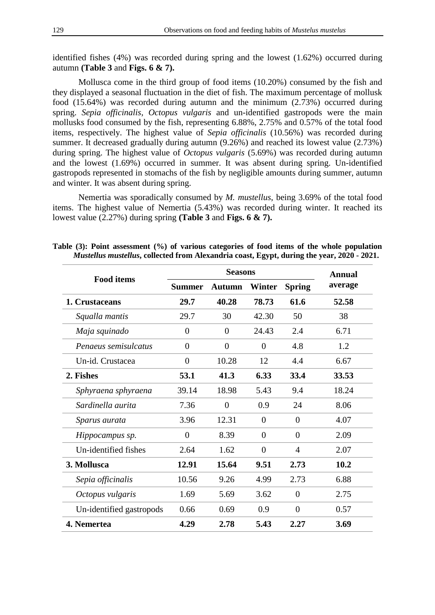identified fishes (4%) was recorded during spring and the lowest (1.62%) occurred during autumn **(Table 3** and **Figs. 6 & 7).**

Mollusca come in the third group of food items (10.20%) consumed by the fish and they displayed a seasonal fluctuation in the diet of fish. The maximum percentage of mollusk food (15.64%) was recorded during autumn and the minimum (2.73%) occurred during spring. *Sepia officinalis*, *Octopus vulgaris* and un-identified gastropods were the main mollusks food consumed by the fish, representing 6.88%, 2.75% and 0.57% of the total food items, respectively. The highest value of *Sepia officinalis* (10.56%) was recorded during summer. It decreased gradually during autumn (9.26%) and reached its lowest value (2.73%) during spring. The highest value of *Octopus vulgaris* (5.69%) was recorded during autumn and the lowest (1.69%) occurred in summer. It was absent during spring. Un-identified gastropods represented in stomachs of the fish by negligible amounts during summer, autumn and winter. It was absent during spring.

Nemertia was sporadically consumed by *M. mustellus*, being 3.69% of the total food items. The highest value of Nemertia (5.43%) was recorded during winter. It reached its lowest value (2.27%) during spring **(Table 3** and **Figs. 6 & 7).**

| <b>Food items</b>        |                | Annual        |          |                |         |  |
|--------------------------|----------------|---------------|----------|----------------|---------|--|
|                          | <b>Summer</b>  | <b>Autumn</b> | Winter   |                | average |  |
| 1. Crustaceans           | 29.7           | 40.28         | 78.73    | 61.6           | 52.58   |  |
| Squalla mantis           | 29.7           | 30            | 42.30    | 50             | 38      |  |
| Maja squinado            | $\theta$       | $\Omega$      | 24.43    | 2.4            | 6.71    |  |
| Penaeus semisulcatus     | $\theta$       | $\Omega$      | $\theta$ | 4.8            | 1.2     |  |
| Un-id. Crustacea         | $\theta$       | 10.28         | 12       | 4.4            | 6.67    |  |
| 2. Fishes                | 53.1           | 41.3          | 6.33     | 33.4           | 33.53   |  |
| Sphyraena sphyraena      | 39.14          | 18.98         | 5.43     | 9.4            | 18.24   |  |
| Sardinella aurita        | 7.36           | $\theta$      | 0.9      | 24             | 8.06    |  |
| Sparus aurata            | 3.96           | 12.31         | $\theta$ | $\overline{0}$ | 4.07    |  |
| Hippocampus sp.          | $\overline{0}$ | 8.39          | $\Omega$ | $\Omega$       | 2.09    |  |
| Un-identified fishes     | 2.64           | 1.62          | $\theta$ | $\overline{4}$ | 2.07    |  |
| 3. Mollusca              | 12.91          | 15.64         | 9.51     | 2.73           | 10.2    |  |
| Sepia officinalis        | 10.56          | 9.26          | 4.99     | 2.73           | 6.88    |  |
| Octopus vulgaris         | 1.69           | 5.69          | 3.62     | $\Omega$       | 2.75    |  |
| Un-identified gastropods | 0.66           | 0.69          | 0.9      | $\Omega$       | 0.57    |  |
| 4. Nemertea              | 4.29           | 2.78          | 5.43     | 2.27           | 3.69    |  |

**Table (3): Point assessment (%) of various categories of food items of the whole population**  *Mustellus mustellus***, collected from Alexandria coast, Egypt, during the year, 2020 - 2021.**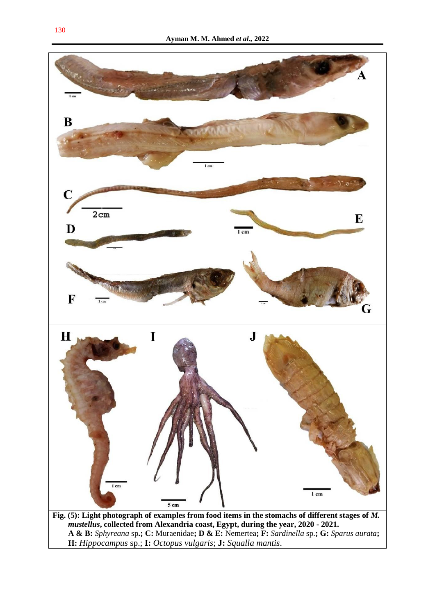

**A & B:** *Sphyreana* sp**.; C:** Muraenidae**; D & E:** Nemertea**; F:** *Sardinella* sp*.***; G:** *Sparus aurata***; H:** *Hippocampus* sp.; **I:** *Octopus vulgaris*; **J:** *Squalla mantis*.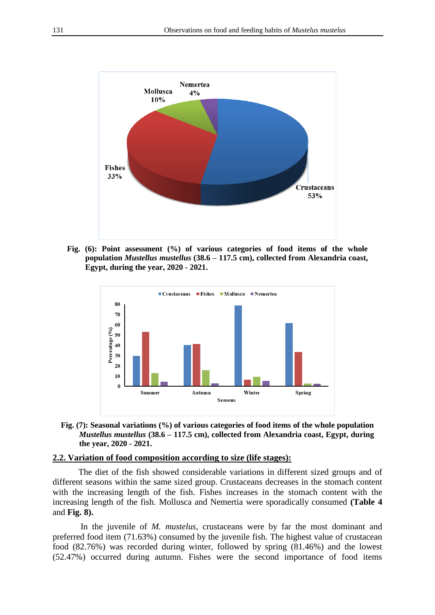

**Fig. (6): Point assessment (%) of various categories of food items of the whole population** *Mustellus mustellus* **(38.6 – 117.5 cm), collected from Alexandria coast, Egypt, during the year, 2020 - 2021.**



**Fig. (7): Seasonal variations (%) of various categories of food items of the whole population**  *Mustellus mustellus* **(38.6 – 117.5 cm), collected from Alexandria coast, Egypt, during the year, 2020 - 2021.**

#### **2.2. Variation of food composition according to size (life stages):**

The diet of the fish showed considerable variations in different sized groups and of different seasons within the same sized group. Crustaceans decreases in the stomach content with the increasing length of the fish. Fishes increases in the stomach content with the increasing length of the fish. Mollusca and Nemertia were sporadically consumed **(Table 4**  and **Fig. 8).**

In the juvenile of *M. mustelus*, crustaceans were by far the most dominant and preferred food item (71.63%) consumed by the juvenile fish. The highest value of crustacean food (82.76%) was recorded during winter, followed by spring (81.46%) and the lowest (52.47%) occurred during autumn. Fishes were the second importance of food items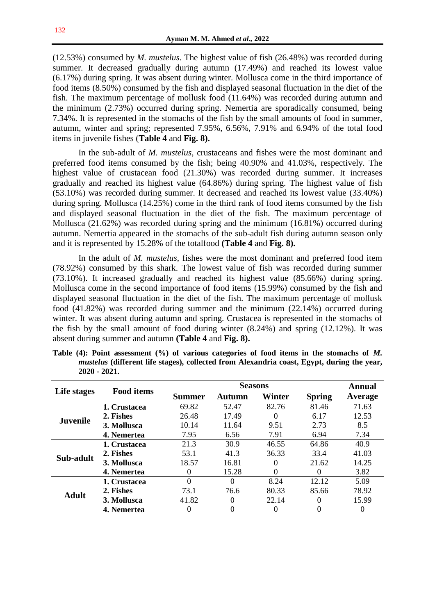(12.53%) consumed by *M. mustelus*. The highest value of fish (26.48%) was recorded during summer. It decreased gradually during autumn (17.49%) and reached its lowest value (6.17%) during spring. It was absent during winter. Mollusca come in the third importance of food items (8.50%) consumed by the fish and displayed seasonal fluctuation in the diet of the fish. The maximum percentage of mollusk food (11.64%) was recorded during autumn and the minimum (2.73%) occurred during spring. Nemertia are sporadically consumed, being 7.34%. It is represented in the stomachs of the fish by the small amounts of food in summer, autumn, winter and spring; represented 7.95%, 6.56%, 7.91% and 6.94% of the total food items in juvenile fishes (**Table 4** and **Fig. 8).**

In the sub-adult of *M. mustelus*, crustaceans and fishes were the most dominant and preferred food items consumed by the fish; being 40.90% and 41.03%, respectively. The highest value of crustacean food (21.30%) was recorded during summer. It increases gradually and reached its highest value (64.86%) during spring. The highest value of fish (53.10%) was recorded during summer. It decreased and reached its lowest value (33.40%) during spring. Mollusca (14.25%) come in the third rank of food items consumed by the fish and displayed seasonal fluctuation in the diet of the fish. The maximum percentage of Mollusca (21.62%) was recorded during spring and the minimum (16.81%) occurred during autumn. Nemertia appeared in the stomachs of the sub-adult fish during autumn season only and it is represented by 15.28% of the totalfood **(Table 4** and **Fig. 8).**

In the adult of *M. mustelus*, fishes were the most dominant and preferred food item (78.92%) consumed by this shark. The lowest value of fish was recorded during summer (73.10%). It increased gradually and reached its highest value (85.66%) during spring. Mollusca come in the second importance of food items (15.99%) consumed by the fish and displayed seasonal fluctuation in the diet of the fish. The maximum percentage of mollusk food (41.82%) was recorded during summer and the minimum (22.14%) occurred during winter. It was absent during autumn and spring. Crustacea is represented in the stomachs of the fish by the small amount of food during winter (8.24%) and spring (12.12%). It was absent during summer and autumn **(Table 4** and **Fig. 8).**

| Life stages     | <b>Food items</b> |               | <b>Annual</b> |          |               |         |
|-----------------|-------------------|---------------|---------------|----------|---------------|---------|
|                 |                   | <b>Summer</b> | Autumn        | Winter   | <b>Spring</b> | Average |
| <b>Juvenile</b> | 1. Crustacea      | 69.82         | 52.47         | 82.76    | 81.46         | 71.63   |
|                 | 2. Fishes         | 26.48         | 17.49         |          | 6.17          | 12.53   |
|                 | 3. Mollusca       | 10.14         | 11.64         | 9.51     | 2.73          | 8.5     |
|                 | 4. Nemertea       | 7.95          | 6.56          | 7.91     | 6.94          | 7.34    |
| Sub-adult       | 1. Crustacea      | 21.3          | 30.9          | 46.55    | 64.86         | 40.9    |
|                 | 2. Fishes         | 53.1          | 41.3          | 36.33    | 33.4          | 41.03   |
|                 | 3. Mollusca       | 18.57         | 16.81         | 0        | 21.62         | 14.25   |
|                 | 4. Nemertea       | 0             | 15.28         | $\Omega$ | $\Omega$      | 3.82    |
| <b>Adult</b>    | 1. Crustacea      | $\Omega$      | 0             | 8.24     | 12.12         | 5.09    |
|                 | 2. Fishes         | 73.1          | 76.6          | 80.33    | 85.66         | 78.92   |
|                 | 3. Mollusca       | 41.82         | 0             | 22.14    | 0             | 15.99   |
|                 | 4. Nemertea       | 0             |               |          |               | 0       |

**Table (4): Point assessment (%) of various categories of food items in the stomachs of** *M. mustelus* **(different life stages), collected from Alexandria coast, Egypt, during the year, 2020 - 2021.**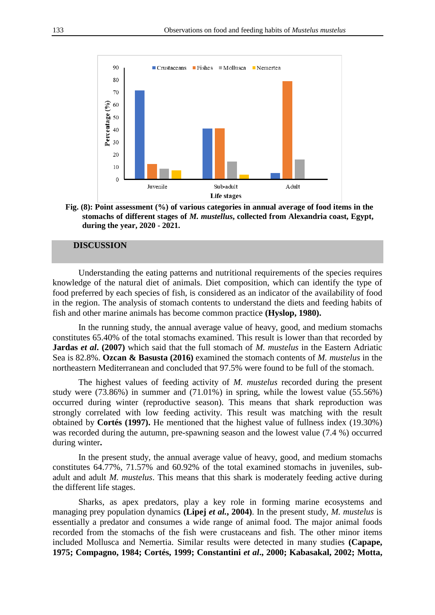

**Fig. (8): Point assessment (%) of various categories in annual average of food items in the stomachs of different stages of** *M. mustellus***, collected from Alexandria coast, Egypt, during the year, 2020 - 2021.**

# **DISCUSSION**

Understanding the eating patterns and nutritional requirements of the species requires knowledge of the natural diet of animals. Diet composition, which can identify the type of food preferred by each species of fish, is considered as an indicator of the availability of food in the region. The analysis of stomach contents to understand the diets and feeding habits of fish and other marine animals has become common practice **(Hyslop, 1980).**

In the running study, the annual average value of heavy, good, and medium stomachs constitutes 65.40% of the total stomachs examined. This result is lower than that recorded by **Jardas** *et al.* (2007) which said that the full stomach of *M. mustelus* in the Eastern Adriatic Sea is 82.8%. **Ozcan & Basusta (2016)** examined the stomach contents of *M. mustelus* in the northeastern Mediterranean and concluded that 97.5% were found to be full of the stomach.

The highest values of feeding activity of *M. mustelus* recorded during the present study were (73.86%) in summer and (71.01%) in spring, while the lowest value (55.56%) occurred during winter (reproductive season). This means that shark reproduction was strongly correlated with low feeding activity. This result was matching with the result obtained by **Cortés (1997).** He mentioned that the highest value of fullness index (19.30%) was recorded during the autumn, pre-spawning season and the lowest value (7.4 %) occurred during winter**.**

In the present study, the annual average value of heavy, good, and medium stomachs constitutes 64.77%, 71.57% and 60.92% of the total examined stomachs in juveniles, subadult and adult *M. mustelus*. This means that this shark is moderately feeding active during the different life stages.

Sharks, as apex predators, play a key role in forming marine ecosystems and managing prey population dynamics **(Lipej** *et al.***, 2004)**. In the present study, *M. mustelus* is essentially a predator and consumes a wide range of animal food. The major animal foods recorded from the stomachs of the fish were crustaceans and fish. The other minor items included Mollusca and Nemertia. Similar results were detected in many studies **(Capape, 1975; Compagno, 1984; Cortés, 1999; Constantini** *et al***., 2000; Kabasakal, 2002; Motta,**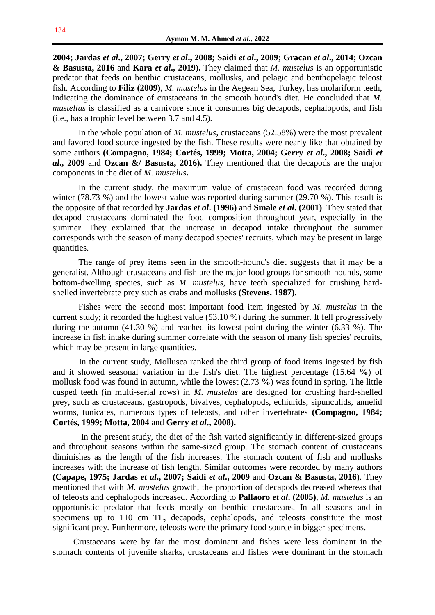**2004; Jardas** *et al***., 2007; Gerry** *et al***., 2008; Saidi** *et al***., 2009; Gracan** *et al***., 2014; Ozcan & Basusta, 2016** and **Kara** *et al***., 2019).** They claimed that *M. mustelus* is an opportunistic predator that feeds on benthic crustaceans, mollusks, and pelagic and benthopelagic teleost fish. According to **Filiz (2009)**, *M. mustelus* in the Aegean Sea, Turkey, has molariform teeth, indicating the dominance of crustaceans in the smooth hound's diet. He concluded that *M. mustellus* is classified as a carnivore since it consumes big decapods, cephalopods, and fish (i.e., has a trophic level between 3.7 and 4.5).

In the whole population of *M. mustelus*, crustaceans (52.58%) were the most prevalent and favored food source ingested by the fish. These results were nearly like that obtained by some authors **(Compagno, 1984; Cortés, 1999; Motta, 2004; Gerry** *et al***., 2008; Saidi** *et al***., 2009** and **Ozcan &/ Basusta, 2016).** They mentioned that the decapods are the major components in the diet of *M. mustelus***.**

In the current study, the maximum value of crustacean food was recorded during winter (78.73 %) and the lowest value was reported during summer (29.70 %). This result is the opposite of that recorded by **Jardas** *et al***. (1996)** and **Smale** *et al***. (2001)**. They stated that decapod crustaceans dominated the food composition throughout year, especially in the summer. They explained that the increase in decapod intake throughout the summer corresponds with the season of many decapod species' recruits, which may be present in large quantities.

The range of prey items seen in the smooth-hound's diet suggests that it may be a generalist. Although crustaceans and fish are the major food groups for smooth-hounds, some bottom-dwelling species, such as *M. mustelus*, have teeth specialized for crushing hardshelled invertebrate prey such as crabs and mollusks **(Stevens, 1987).**

Fishes were the second most important food item ingested by *M. mustelus* in the current study; it recorded the highest value (53.10 %) during the summer. It fell progressively during the autumn (41.30 %) and reached its lowest point during the winter (6.33 %). The increase in fish intake during summer correlate with the season of many fish species' recruits, which may be present in large quantities.

In the current study, Mollusca ranked the third group of food items ingested by fish and it showed seasonal variation in the fish's diet. The highest percentage (15.64 **%**) of mollusk food was found in autumn, while the lowest (2.73 **%**) was found in spring. The little cusped teeth (in multi-serial rows) in *M. mustelus* are designed for crushing hard-shelled prey, such as crustaceans, gastropods, bivalves, cephalopods, echiurids, sipunculids, annelid worms, tunicates, numerous types of teleosts, and other invertebrates **(Compagno, 1984; Cortés, 1999; Motta, 2004** and **Gerry** *et al***., 2008).**

In the present study, the diet of the fish varied significantly in different-sized groups and throughout seasons within the same-sized group. The stomach content of crustaceans diminishes as the length of the fish increases. The stomach content of fish and mollusks increases with the increase of fish length. Similar outcomes were recorded by many authors **(Capape, 1975; Jardas** *et al***., 2007; Saidi** *et al***., 2009** and **Ozcan & Basusta, 2016)**. They mentioned that with *M. mustelus* growth, the proportion of decapods decreased whereas that of teleosts and cephalopods increased. According to **Pallaoro** *et al***. (2005)**, *M. mustelus* is an opportunistic predator that feeds mostly on benthic crustaceans. In all seasons and in specimens up to 110 cm TL, decapods, cephalopods, and teleosts constitute the most significant prey. Furthermore, teleosts were the primary food source in bigger specimens.

Crustaceans were by far the most dominant and fishes were less dominant in the stomach contents of juvenile sharks, crustaceans and fishes were dominant in the stomach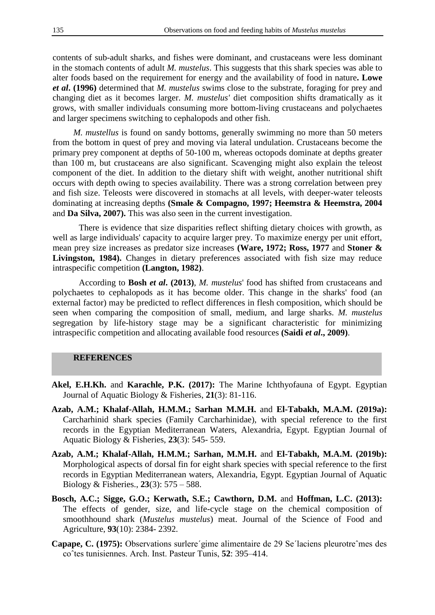contents of sub-adult sharks, and fishes were dominant, and crustaceans were less dominant in the stomach contents of adult *M. mustelus*. This suggests that this shark species was able to alter foods based on the requirement for energy and the availability of food in nature**. Lowe**  *et al***. (1996)** determined that *M. mustelus* swims close to the substrate, foraging for prey and changing diet as it becomes larger. *M. mustelus'* diet composition shifts dramatically as it grows, with smaller individuals consuming more bottom-living crustaceans and polychaetes and larger specimens switching to cephalopods and other fish.

*M. mustellus* is found on sandy bottoms, generally swimming no more than 50 meters from the bottom in quest of prey and moving via lateral undulation. Crustaceans become the primary prey component at depths of 50-100 m, whereas octopods dominate at depths greater than 100 m, but crustaceans are also significant. Scavenging might also explain the teleost component of the diet. In addition to the dietary shift with weight, another nutritional shift occurs with depth owing to species availability. There was a strong correlation between prey and fish size. Teleosts were discovered in stomachs at all levels, with deeper-water teleosts dominating at increasing depths **(Smale & Compagno, 1997; Heemstra & Heemstra, 2004**  and **Da Silva, 2007).** This was also seen in the current investigation.

There is evidence that size disparities reflect shifting dietary choices with growth, as well as large individuals' capacity to acquire larger prey. To maximize energy per unit effort, mean prey size increases as predator size increases **(Ware, 1972; Ross, 1977** and **Stoner &** Livingston, 1984). Changes in dietary preferences associated with fish size may reduce intraspecific competition **(Langton, 1982)**.

According to **Bosh** *et al***. (2013)**, *M. mustelus*' food has shifted from crustaceans and polychaetes to cephalopods as it has become older. This change in the sharks' food (an external factor) may be predicted to reflect differences in flesh composition, which should be seen when comparing the composition of small, medium, and large sharks. *M. mustelus* segregation by life-history stage may be a significant characteristic for minimizing intraspecific competition and allocating available food resources **(Saidi** *et al***., 2009)**.

# **REFERENCES**

- Akel, E.H.Kh. and Karachle, P.K. (2017): The Marine Ichthyofauna of Egypt. Egyptian Journal of Aquatic Biology & Fisheries, **21**(3): 81-116.
- **Azab, A.M.; Khalaf-Allah, H.M.M.; Sarhan M.M.H.** and **El-Tabakh, M.A.M. (2019a):** Carcharhinid shark species (Family Carcharhinidae), with special reference to the first records in the Egyptian Mediterranean Waters, Alexandria, Egypt. Egyptian Journal of Aquatic Biology & Fisheries, **23**(3): 545- 559.
- **Azab, A.M.; Khalaf-Allah, H.M.M.; Sarhan, M.M.H.** and **El-Tabakh, M.A.M. (2019b):**  Morphological aspects of dorsal fin for eight shark species with special reference to the first records in Egyptian Mediterranean waters, Alexandria, Egypt. Egyptian Journal of Aquatic Biology & Fisheries., **23**(3): 575 – 588.
- **Bosch, A.C.; Sigge, G.O.; Kerwath, S.E.; Cawthorn, D.M.** and **Hoffman, L.C. (2013):** The effects of gender, size, and life-cycle stage on the chemical composition of smoothhound shark (*Mustelus mustelus*) meat. Journal of the Science of Food and Agriculture, **93**(10): 2384- 2392.
- **Capape, C. (1975):** Observations surlere´gime alimentaire de 29 Se´laciens pleurotreˆmes des coˆtes tunisiennes. Arch. Inst. Pasteur Tunis, **52**: 395–414.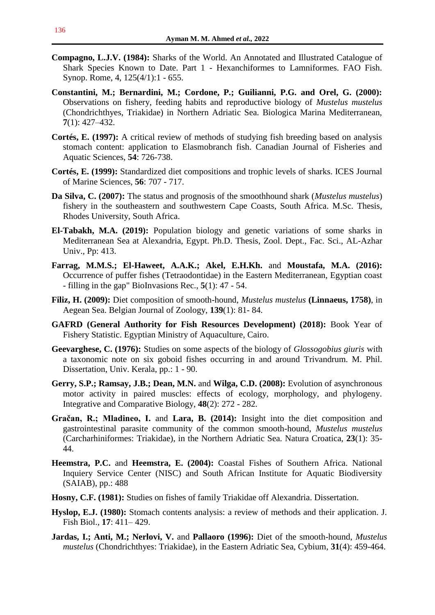- **Compagno, L.J.V. (1984):** Sharks of the World. An Annotated and Illustrated Catalogue of Shark Species Known to Date. Part 1 - Hexanchiformes to Lamniformes. FAO Fish. Synop. Rome, 4, 125(4/1):1 - 655.
- **Constantini, M.; Bernardini, M.; Cordone, P.; Guilianni, P.G. and Orel, G. (2000):** Observations on fishery, feeding habits and reproductive biology of *Mustelus mustelus* (Chondrichthyes, Triakidae) in Northern Adriatic Sea. Biologica Marina Mediterranean, **7**(1): 427–432.
- **Cortés, E. (1997):** A critical review of methods of studying fish breeding based on analysis stomach content: application to Elasmobranch fish. Canadian Journal of Fisheries and Aquatic Sciences, **54**: 726-738.
- **Cortés, E. (1999):** Standardized diet compositions and trophic levels of sharks. ICES Journal of Marine Sciences, **56**: 707 - 717.
- **Da Silva, C. (2007):** The status and prognosis of the smoothhound shark (*Mustelus mustelus*) fishery in the southeastern and southwestern Cape Coasts, South Africa. M.Sc. Thesis, Rhodes University, South Africa.
- **El-Tabakh, M.A. (2019):** Population biology and genetic variations of some sharks in Mediterranean Sea at Alexandria, Egypt. Ph.D. Thesis, Zool. Dept., Fac. Sci., AL-Azhar Univ., Pp: 413.
- **Farrag, M.M.S.; El-Haweet, A.A.K.; Akel, E.H.Kh.** and **Moustafa, M.A. (2016):**  Occurrence of puffer fishes (Tetraodontidae) in the Eastern Mediterranean, Egyptian coast - filling in the gap" BioInvasions Rec., **5**(1): 47 - 54.
- **Filiz, H. (2009):** Diet composition of smooth-hound, *Mustelus mustelus* **(Linnaeus, 1758)**, in Aegean Sea. Belgian Journal of Zoology, **139**(1): 81- 84.
- **GAFRD (General Authority for Fish Resources Development) (2018):** Book Year of Fishery Statistic. Egyptian Ministry of Aquaculture, Cairo.
- **Geevarghese, C. (1976):** Studies on some aspects of the biology of *Glossogobius giuris* with a taxonomic note on six goboid fishes occurring in and around Trivandrum. M. Phil. Dissertation, Univ. Kerala, pp.: 1 - 90.
- **Gerry, S.P.; Ramsay, J.B.; Dean, M.N.** and **Wilga, C.D. (2008):** Evolution of asynchronous motor activity in paired muscles: effects of ecology, morphology, and phylogeny. Integrative and Comparative Biology, **48**(2): 272 - 282.
- **Gračan, R.; Mladineo, I.** and **Lara, B. (2014):** Insight into the diet composition and gastrointestinal parasite community of the common smooth-hound, *Mustelus mustelus* (Carcharhiniformes: Triakidae), in the Northern Adriatic Sea. Natura Croatica, **23**(1): 35- 44.
- **Heemstra, P.C.** and **Heemstra, E. (2004):** Coastal Fishes of Southern Africa. National Inquiery Service Center (NISC) and South African Institute for Aquatic Biodiversity (SAIAB), pp.: 488
- **Hosny, C.F. (1981):** Studies on fishes of family Triakidae off Alexandria. Dissertation.
- **Hyslop, E.J. (1980):** Stomach contents analysis: a review of methods and their application. J. Fish Biol., **17**: 411– 429.
- **Jardas, I.; Anti, M.; Nerlovi, V.** and **Pallaoro (1996):** Diet of the smooth-hound, *Mustelus mustelus* (Chondrichthyes: Triakidae), in the Eastern Adriatic Sea, Cybium, **31**(4): 459-464.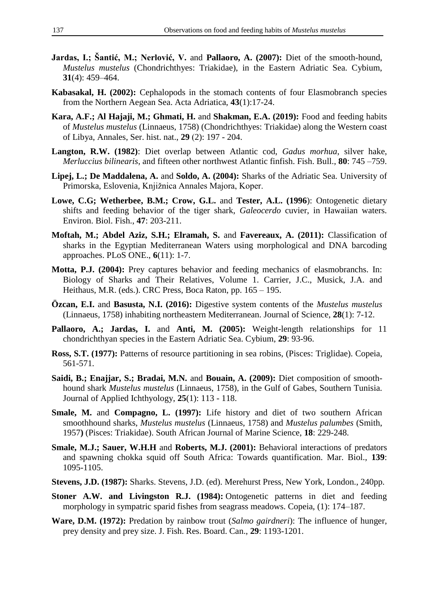- **Jardas, I.; Šantić, M.; Nerlović, V.** and **Pallaoro, A. (2007):** Diet of the smooth-hound, *Mustelus mustelus* (Chondrichthyes: Triakidae), in the Eastern Adriatic Sea. Cybium, **31**(4): 459–464.
- **Kabasakal, H. (2002):** Cephalopods in the stomach contents of four Elasmobranch species from the Northern Aegean Sea. Acta Adriatica, **43**(1):17-24.
- **Kara, A.F.; Al Hajaji, M.; Ghmati, H.** and **Shakman, E.A. (2019):** Food and feeding habits of *Mustelus mustelus* (Linnaeus, 1758) (Chondrichthyes: Triakidae) along the Western coast of Libya, Annales, Ser. hist. nat., **29** (2): 197 - 204.
- **Langton, R.W. (1982)**: Diet overlap between Atlantic cod, *Gadus morhua*, silver hake, *Merluccius bilinearis*, and fifteen other northwest Atlantic finfish. Fish. Bull., **80**: 745 –759.
- **Lipej, L.; De Maddalena, A.** and **Soldo, A. (2004):** Sharks of the Adriatic Sea. University of Primorska, Eslovenia, Knjižnica Annales Majora, Koper.
- **Lowe, C.G; Wetherbee, B.M.; Crow, G.L.** and **Tester, A.L. (1996**): Ontogenetic dietary shifts and feeding behavior of the tiger shark, *Galeocerdo* cuvier, in Hawaiian waters. Environ. Biol. Fish., **47**: 203-211.
- **Moftah, M.; Abdel Aziz, S.H.; Elramah, S.** and **Favereaux, A. (2011):** Classification of sharks in the Egyptian Mediterranean Waters using morphological and DNA barcoding approaches. PLoS ONE., **6**(11): 1-7.
- **Motta, P.J. (2004):** Prey captures behavior and feeding mechanics of elasmobranchs. In: Biology of Sharks and Their Relatives, Volume 1. Carrier, J.C., Musick, J.A. and Heithaus, M.R. (eds.). CRC Press, Boca Raton, pp. 165 – 195.
- **Özcan, E.I.** and **Basusta, N.I. (2016):** Digestive system contents of the *Mustelus mustelus* (Linnaeus, 1758) inhabiting northeastern Mediterranean. Journal of Science, **28**(1): 7-12.
- **Pallaoro, A.; Jardas, I.** and **Anti, M. (2005):** Weight-length relationships for 11 chondrichthyan species in the Eastern Adriatic Sea. Cybium, **29**: 93-96.
- **Ross, S.T. (1977):** Patterns of resource partitioning in sea robins, (Pisces: Triglidae). Copeia, 561-571.
- **Saidi, B.; Enajjar, S.; Bradai, M.N.** and **Bouain, A. (2009):** Diet composition of smoothhound shark *Mustelus mustelus* (Linnaeus, 1758), in the Gulf of Gabes, Southern Tunisia. Journal of Applied Ichthyology, **25**(1): 113 - 118.
- **Smale, M.** and **Compagno, L. (1997):** Life history and diet of two southern African smoothhound sharks, *Mustelus mustelus* (Linnaeus, 1758) and *Mustelus palumbes* (Smith, 1957**)** (Pisces: Triakidae). South African Journal of Marine Science, **18**: 229-248.
- **Smale, M.J.; Sauer, W.H.H** and **Roberts, M.J. (2001):** Behavioral interactions of predators and spawning chokka squid off South Africa: Towards quantification. Mar. Biol., **139**: 1095-1105.
- **Stevens, J.D. (1987):** Sharks. Stevens, J.D. (ed). Merehurst Press, New York, London., 240pp.
- **Stoner A.W. and Livingston R.J. (1984):** Ontogenetic patterns in diet and feeding morphology in sympatric sparid fishes from seagrass meadows. Copeia, (1): 174–187.
- **Ware, D.M. (1972):** Predation by rainbow trout (*Salmo gairdneri*): The influence of hunger, prey density and prey size. J. Fish. Res. Board. Can., **29**: 1193-1201.